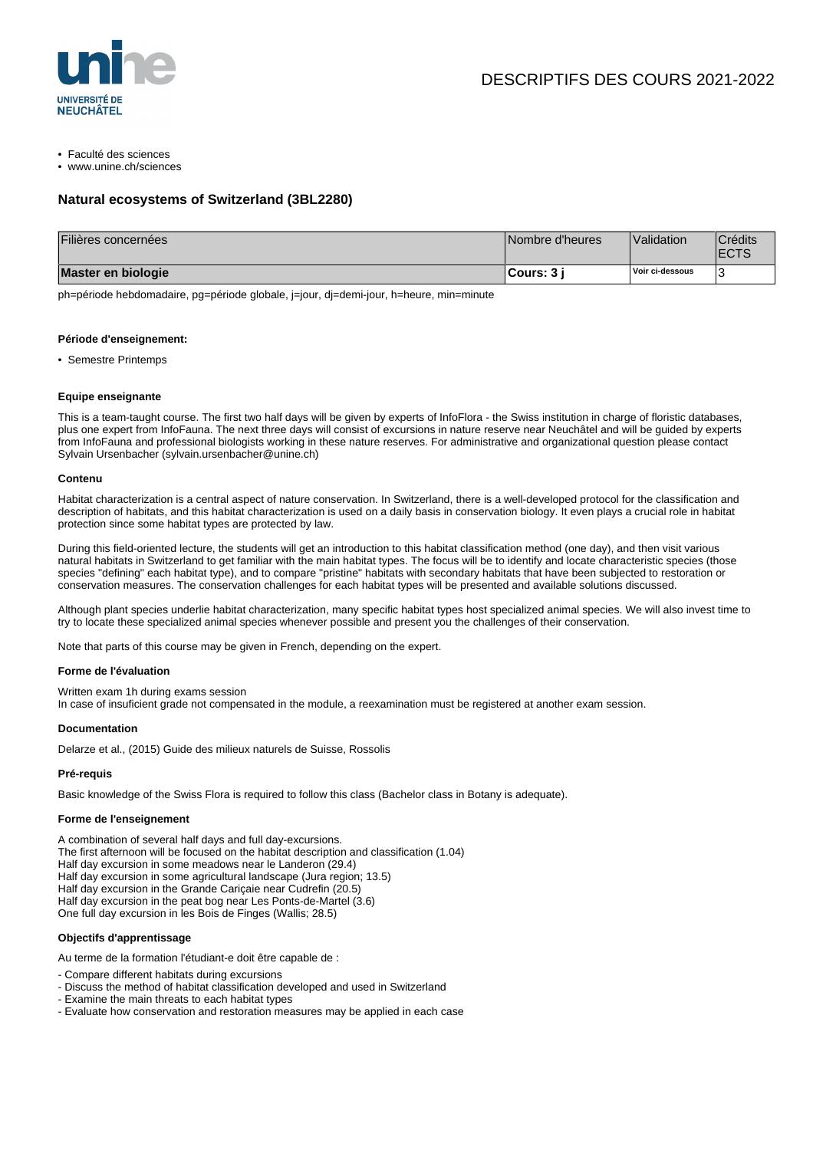

- Faculté des sciences
- www.unine.ch/sciences

# **Natural ecosystems of Switzerland (3BL2280)**

| Filières concernées | Nombre d'heures    | Validation      | Crédits<br><b>ECTS</b> |
|---------------------|--------------------|-----------------|------------------------|
| Master en biologie  | <b>⊩Cours: 3</b> i | Voir ci-dessous |                        |

ph=période hebdomadaire, pg=période globale, j=jour, dj=demi-jour, h=heure, min=minute

#### **Période d'enseignement:**

• Semestre Printemps

#### **Equipe enseignante**

This is a team-taught course. The first two half days will be given by experts of InfoFlora - the Swiss institution in charge of floristic databases, plus one expert from InfoFauna. The next three days will consist of excursions in nature reserve near Neuchâtel and will be guided by experts from InfoFauna and professional biologists working in these nature reserves. For administrative and organizational question please contact Sylvain Ursenbacher (sylvain.ursenbacher@unine.ch)

#### **Contenu**

Habitat characterization is a central aspect of nature conservation. In Switzerland, there is a well-developed protocol for the classification and description of habitats, and this habitat characterization is used on a daily basis in conservation biology. It even plays a crucial role in habitat protection since some habitat types are protected by law.

During this field-oriented lecture, the students will get an introduction to this habitat classification method (one day), and then visit various natural habitats in Switzerland to get familiar with the main habitat types. The focus will be to identify and locate characteristic species (those species "defining" each habitat type), and to compare "pristine" habitats with secondary habitats that have been subjected to restoration or conservation measures. The conservation challenges for each habitat types will be presented and available solutions discussed.

Although plant species underlie habitat characterization, many specific habitat types host specialized animal species. We will also invest time to try to locate these specialized animal species whenever possible and present you the challenges of their conservation.

Note that parts of this course may be given in French, depending on the expert.

#### **Forme de l'évaluation**

Written exam 1h during exams session

In case of insuficient grade not compensated in the module, a reexamination must be registered at another exam session.

#### **Documentation**

Delarze et al., (2015) Guide des milieux naturels de Suisse, Rossolis

### **Pré-requis**

Basic knowledge of the Swiss Flora is required to follow this class (Bachelor class in Botany is adequate).

#### **Forme de l'enseignement**

A combination of several half days and full day-excursions.

- The first afternoon will be focused on the habitat description and classification (1.04)
- Half day excursion in some meadows near le Landeron (29.4)
- Half day excursion in some agricultural landscape (Jura region; 13.5)
- Half day excursion in the Grande Cariçaie near Cudrefin (20.5)
- Half day excursion in the peat bog near Les Ponts-de-Martel (3.6)
- One full day excursion in les Bois de Finges (Wallis; 28.5)

## **Objectifs d'apprentissage**

Au terme de la formation l'étudiant-e doit être capable de :

- Compare different habitats during excursions
- Discuss the method of habitat classification developed and used in Switzerland
- Examine the main threats to each habitat types
- Evaluate how conservation and restoration measures may be applied in each case